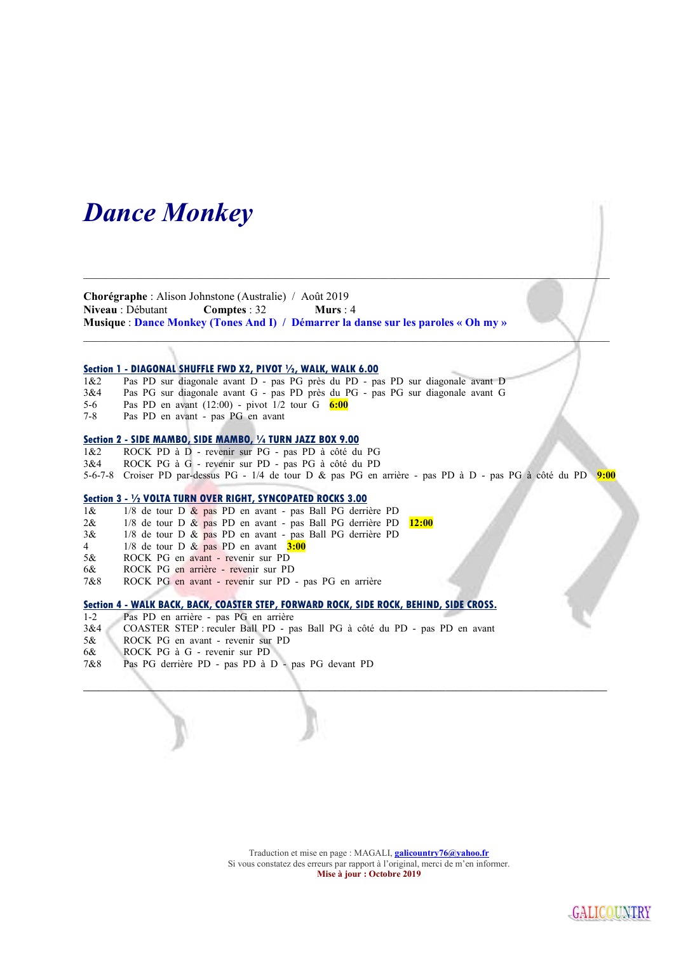## Dance Monkey

Chorégraphe : Alison Johnstone (Australie) / Août 2019 Niveau : Débutant Comptes : 32 Murs : 4 Musique : Dance Monkey (Tones And I) / Démarrer la danse sur les paroles « Oh my »

#### Section 1 - DIAGONAL SHUFFLE FWD X2, PIVOT 1/2, WALK, WALK 6.00

1&2 Pas PD sur diagonale avant D - pas PG près du PD - pas PD sur diagonale avant D

- 3&4 Pas PG sur diagonale avant G pas PD près du PG pas PG sur diagonale avant G
- 5-6 Pas PD en avant  $(12:00)$  pivot  $1/2$  tour G  $6:00$ <br>7-8 Pas PD en avant pas PG en avant
- Pas PD en avant pas PG en avant

#### Section 2 - SIDE MAMBO, SIDE MAMBO, 1/4 TURN JAZZ BOX 9.00

1&2 ROCK PD à D - revenir sur PG - pas PD à côté du PG 3&4 ROCK PG à G - revenir sur PD - pas PG à côté du PD 5-6-7-8 Croiser PD par-dessus PG - 1/4 de tour D & pas PG en arrière - pas PD à D - pas PG à côté du PD 9:00

\_\_\_\_\_\_\_\_\_\_\_\_\_\_\_\_\_\_\_\_\_\_\_\_\_\_\_\_\_\_\_\_\_\_\_\_\_\_\_\_\_\_\_\_\_\_\_\_\_\_\_\_\_\_\_\_\_\_\_\_\_\_\_\_\_\_\_\_\_\_\_\_\_\_\_\_\_\_\_\_\_\_\_\_\_\_\_\_\_\_\_\_\_\_\_\_\_\_\_\_\_\_\_\_

\_\_\_\_\_\_\_\_\_\_\_\_\_\_\_\_\_\_\_\_\_\_\_\_\_\_\_\_\_\_\_\_\_\_\_\_\_\_\_\_\_\_\_\_\_\_\_\_\_\_\_\_\_\_\_\_\_\_\_\_\_\_\_\_\_\_\_\_\_\_\_\_\_\_\_\_\_\_\_\_\_\_\_\_\_\_\_\_\_\_\_\_\_

 $\Box$ 

#### Section 3 - 1/2 VOLTA TURN OVER RIGHT, SYNCOPATED ROCKS 3.00

- 1& 1/8 de tour D & pas PD en avant pas Ball PG derrière PD
- 2& 1/8 de tour D & pas PD en avant pas Ball PG derrière PD 12:00
- 3& 1/8 de tour D & pas PD en avant pas Ball PG derrière PD
- 4 1/8 de tour D  $\&$  pas PD en avant  $3:00$
- 5& ROCK PG en avant revenir sur PD
- 6& ROCK PG en arrière revenir sur PD
- 7&8 ROCK PG en avant revenir sur PD pas PG en arrière

### Section 4 - WALK BACK, BACK, COASTER STEP, FORWARD ROCK, SIDE ROCK, BEHIND, SIDE CROSS.

- 1-2 Pas PD en arrière pas PG en arrière
- 3&4 COASTER STEP : reculer Ball PD pas Ball PG à côté du PD pas PD en avant
- 5& ROCK PG en avant revenir sur PD
- 6& ROCK PG à G revenir sur PD
- 7&8 Pas PG derrière PD pas PD à D pas PG devant PD

Traduction et mise en page : MAGALI, *galicountry76@yahoo.fr* Si vous constatez des erreurs par rapport à l'original, merci de m'en informer. Mise à jour : Octobre 2019